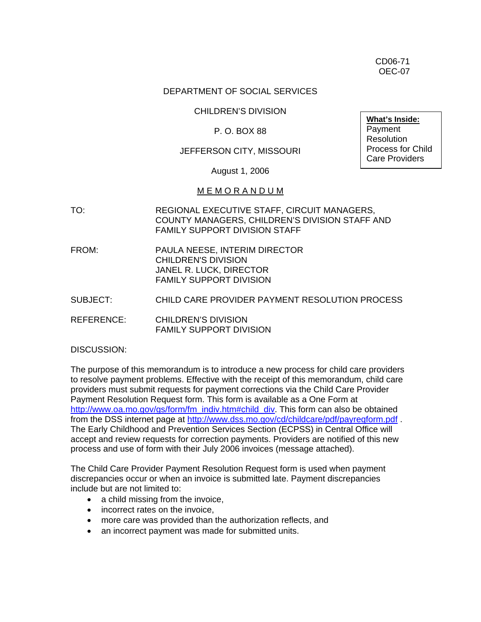CD06-71 OEC-07

#### DEPARTMENT OF SOCIAL SERVICES

#### CHILDREN'S DIVISION

## P. O. BOX 88

## JEFFERSON CITY, MISSOURI

August 1, 2006

#### M E M O R A N D U M

- TO: REGIONAL EXECUTIVE STAFF, CIRCUIT MANAGERS, COUNTY MANAGERS, CHILDREN'S DIVISION STAFF AND FAMILY SUPPORT DIVISION STAFF
- FROM: PAULA NEESE, INTERIM DIRECTOR CHILDREN'S DIVISION JANEL R. LUCK, DIRECTOR FAMILY SUPPORT DIVISION
- SUBJECT: CHILD CARE PROVIDER PAYMENT RESOLUTION PROCESS

REFERENCE: CHILDREN'S DIVISION FAMILY SUPPORT DIVISION

DISCUSSION:

The purpose of this memorandum is to introduce a new process for child care providers to resolve payment problems. Effective with the receipt of this memorandum, child care providers must submit requests for payment corrections via the Child Care Provider Payment Resolution Request form. This form is available as a One Form at [http://www.oa.mo.gov/gs/form/fm\\_indiv.htm#child\\_div.](http://www.oa.mo.gov/gs/form/fm_indiv.htm#child_div) This form can also be obtained from the DSS internet page at <http://www.dss.mo.gov/cd/childcare/pdf/payreqform.pdf> . The Early Childhood and Prevention Services Section (ECPSS) in Central Office will accept and review requests for correction payments. Providers are notified of this new process and use of form with their July 2006 invoices (message attached).

The Child Care Provider Payment Resolution Request form is used when payment discrepancies occur or when an invoice is submitted late. Payment discrepancies include but are not limited to:

- a child missing from the invoice,
- incorrect rates on the invoice,
- more care was provided than the authorization reflects, and
- an incorrect payment was made for submitted units.

**What's Inside:** Payment **Resolution** Process for Child Care Providers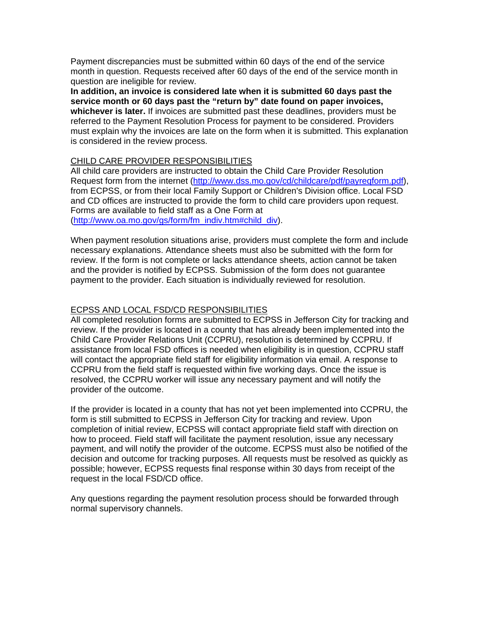Payment discrepancies must be submitted within 60 days of the end of the service month in question. Requests received after 60 days of the end of the service month in question are ineligible for review.

**In addition, an invoice is considered late when it is submitted 60 days past the service month or 60 days past the "return by" date found on paper invoices, whichever is later.** If invoices are submitted past these deadlines, providers must be referred to the Payment Resolution Process for payment to be considered. Providers must explain why the invoices are late on the form when it is submitted. This explanation is considered in the review process.

## CHILD CARE PROVIDER RESPONSIBILITIES

All child care providers are instructed to obtain the Child Care Provider Resolution Request form from the internet ([http://www.dss.mo.gov/cd/childcare/pdf/payreqform.pdf\)](http://www.dss.mo.gov/cd/childcare/pdf/payreqform.pdf), from ECPSS, or from their local Family Support or Children's Division office. Local FSD and CD offices are instructed to provide the form to child care providers upon request. Forms are available to field staff as a One Form at ([http://www.oa.mo.gov/gs/form/fm\\_indiv.htm#child\\_div](http://www.oa.mo.gov/gs/form/fm_indiv.htm#child_div)).

When payment resolution situations arise, providers must complete the form and include necessary explanations. Attendance sheets must also be submitted with the form for review. If the form is not complete or lacks attendance sheets, action cannot be taken and the provider is notified by ECPSS. Submission of the form does not guarantee payment to the provider. Each situation is individually reviewed for resolution.

## ECPSS AND LOCAL FSD/CD RESPONSIBILITIES

All completed resolution forms are submitted to ECPSS in Jefferson City for tracking and review. If the provider is located in a county that has already been implemented into the Child Care Provider Relations Unit (CCPRU), resolution is determined by CCPRU. If assistance from local FSD offices is needed when eligibility is in question, CCPRU staff will contact the appropriate field staff for eligibility information via email. A response to CCPRU from the field staff is requested within five working days. Once the issue is resolved, the CCPRU worker will issue any necessary payment and will notify the provider of the outcome.

If the provider is located in a county that has not yet been implemented into CCPRU, the form is still submitted to ECPSS in Jefferson City for tracking and review. Upon completion of initial review, ECPSS will contact appropriate field staff with direction on how to proceed. Field staff will facilitate the payment resolution, issue any necessary payment, and will notify the provider of the outcome. ECPSS must also be notified of the decision and outcome for tracking purposes. All requests must be resolved as quickly as possible; however, ECPSS requests final response within 30 days from receipt of the request in the local FSD/CD office.

Any questions regarding the payment resolution process should be forwarded through normal supervisory channels.